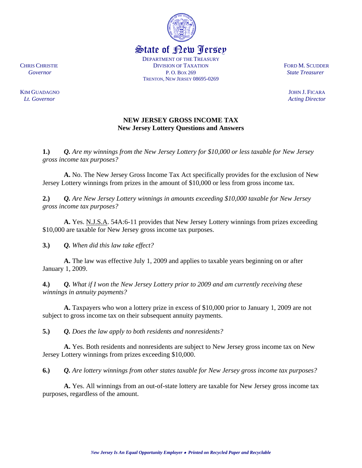

State of New Jersey DEPARTMENT OF THE TREASURY

**CHRIS CHRISTIE CHRISTIE DIVISION OF TAXATION CHRISTIAN FORD M. SCUDDER** *Governor* State Treasurer **P.O. Box 269** State Treasurer **State Treasurer** *P.O. Box 269* State Treasurer TRENTON, NEW JERSEY 08695-0269

*Lt. Governor* Acting Director

KIM GUADAGNOJOHN J. FICARA

# **NEW JERSEY GROSS INCOME TAX New Jersey Lottery Questions and Answers**

**1.)** *Q. Are my winnings from the New Jersey Lottery for \$10,000 or less taxable for New Jersey gross income tax purposes?* 

**A.** No. The New Jersey Gross Income Tax Act specifically provides for the exclusion of New Jersey Lottery winnings from prizes in the amount of \$10,000 or less from gross income tax.

**2.)** *Q. Are New Jersey Lottery winnings in amounts exceeding \$10,000 taxable for New Jersey gross income tax purposes?* 

**A.** Yes. N.J.S.A. 54A:6-11 provides that New Jersey Lottery winnings from prizes exceeding \$10,000 are taxable for New Jersey gross income tax purposes.

**3.)** *Q. When did this law take effect?* 

**A.** The law was effective July 1, 2009 and applies to taxable years beginning on or after January 1, 2009.

**4.)** *Q. What if I won the New Jersey Lottery prior to 2009 and am currently receiving these winnings in annuity payments?* 

**A.** Taxpayers who won a lottery prize in excess of \$10,000 prior to January 1, 2009 are not subject to gross income tax on their subsequent annuity payments.

**5.)** *Q. Does the law apply to both residents and nonresidents?* 

**A.** Yes. Both residents and nonresidents are subject to New Jersey gross income tax on New Jersey Lottery winnings from prizes exceeding \$10,000.

**6.)** *Q. Are lottery winnings from other states taxable for New Jersey gross income tax purposes?*

**A.** Yes. All winnings from an out-of-state lottery are taxable for New Jersey gross income tax purposes, regardless of the amount.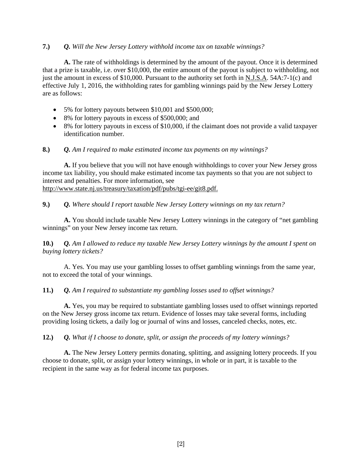# **7.)** *Q. Will the New Jersey Lottery withhold income tax on taxable winnings?*

**A.** The rate of withholdings is determined by the amount of the payout. Once it is determined that a prize is taxable, i.e. over \$10,000, the entire amount of the payout is subject to withholding, not just the amount in excess of \$10,000. Pursuant to the authority set forth in N.J.S.A. 54A:7-1(c) and effective July 1, 2016, the withholding rates for gambling winnings paid by the New Jersey Lottery are as follows:

- 5% for lottery payouts between \$10,001 and \$500,000;
- 8% for lottery payouts in excess of \$500,000; and
- 8% for lottery payouts in excess of \$10,000, if the claimant does not provide a valid taxpayer identification number.

## **8.)** *Q. Am I required to make estimated income tax payments on my winnings?*

**A.** If you believe that you will not have enough withholdings to cover your New Jersey gross income tax liability, you should make estimated income tax payments so that you are not subject to interest and penalties. For more information, see http://www.state.nj.us/treasury/taxation/pdf/pubs/tgi-ee/git8.pdf.

## **9.)** *Q. Where should I report taxable New Jersey Lottery winnings on my tax return?*

**A.** You should include taxable New Jersey Lottery winnings in the category of "net gambling winnings" on your New Jersey income tax return.

**10.)** *Q. Am I allowed to reduce my taxable New Jersey Lottery winnings by the amount I spent on buying lottery tickets?* 

A. Yes. You may use your gambling losses to offset gambling winnings from the same year, not to exceed the total of your winnings.

#### **11.)** *Q. Am I required to substantiate my gambling losses used to offset winnings?*

**A.** Yes, you may be required to substantiate gambling losses used to offset winnings reported on the New Jersey gross income tax return. Evidence of losses may take several forms, including providing losing tickets, a daily log or journal of wins and losses, canceled checks, notes, etc.

#### **12.)** *Q. What if I choose to donate, split, or assign the proceeds of my lottery winnings?*

**A.** The New Jersey Lottery permits donating, splitting, and assigning lottery proceeds. If you choose to donate, split, or assign your lottery winnings, in whole or in part, it is taxable to the recipient in the same way as for federal income tax purposes.